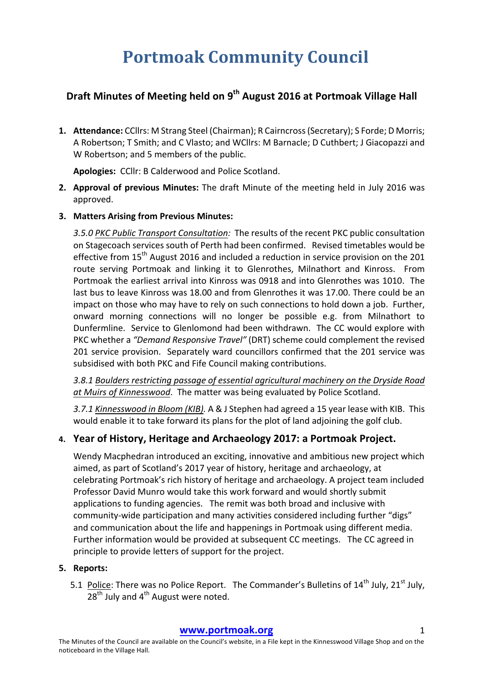# **Portmoak Community Council**

## **Draft Minutes of Meeting held on 9<sup>th</sup> August 2016 at Portmoak Village Hall**

1. Attendance: CCllrs: M Strang Steel (Chairman); R Cairncross (Secretary); S Forde; D Morris; A Robertson; T Smith; and C Vlasto; and WCllrs: M Barnacle; D Cuthbert; J Giacopazzi and W Robertson; and 5 members of the public.

Apologies: CCllr: B Calderwood and Police Scotland.

- **2. Approval of previous Minutes:** The draft Minute of the meeting held in July 2016 was approved.
- **3. Matters Arising from Previous Minutes:**

3.5.0 PKC Public Transport Consultation: The results of the recent PKC public consultation on Stagecoach services south of Perth had been confirmed. Revised timetables would be effective from  $15<sup>th</sup>$  August 2016 and included a reduction in service provision on the 201 route serving Portmoak and linking it to Glenrothes, Milnathort and Kinross. From Portmoak the earliest arrival into Kinross was 0918 and into Glenrothes was 1010. The last bus to leave Kinross was 18.00 and from Glenrothes it was 17.00. There could be an impact on those who may have to rely on such connections to hold down a job. Further, onward morning connections will no longer be possible e.g. from Milnathort to Dunfermline. Service to Glenlomond had been withdrawn. The CC would explore with PKC whether a "Demand Responsive Travel" (DRT) scheme could complement the revised 201 service provision. Separately ward councillors confirmed that the 201 service was subsidised with both PKC and Fife Council making contributions.

3.8.1 Boulders restricting passage of essential agricultural machinery on the Dryside Road at Muirs of Kinnesswood. The matter was being evaluated by Police Scotland.

3.7.1 Kinnesswood in Bloom (KIB). A & J Stephen had agreed a 15 year lease with KIB. This would enable it to take forward its plans for the plot of land adjoining the golf club.

### **4. Year of History, Heritage and Archaeology 2017: a Portmoak Project.**

Wendy Macphedran introduced an exciting, innovative and ambitious new project which aimed, as part of Scotland's 2017 year of history, heritage and archaeology, at celebrating Portmoak's rich history of heritage and archaeology. A project team included Professor David Munro would take this work forward and would shortly submit applications to funding agencies. The remit was both broad and inclusive with community-wide participation and many activities considered including further "digs" and communication about the life and happenings in Portmoak using different media. Further information would be provided at subsequent CC meetings. The CC agreed in principle to provide letters of support for the project.

#### **5.** Reports:

5.1 Police: There was no Police Report. The Commander's Bulletins of 14<sup>th</sup> July, 21<sup>st</sup> July,  $28<sup>th</sup>$  July and 4<sup>th</sup> August were noted.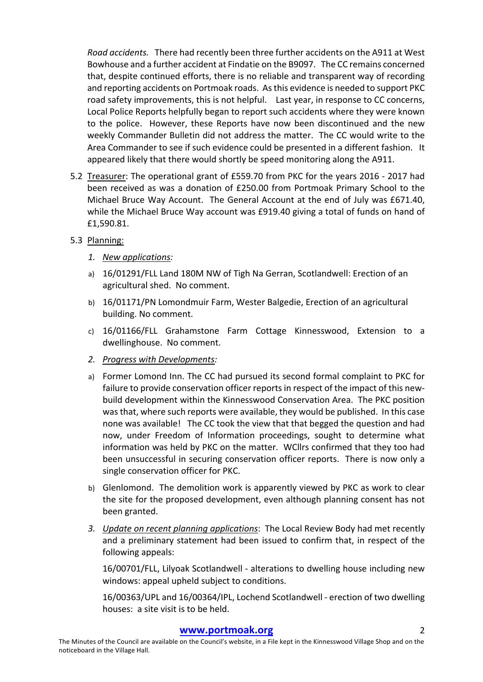*Road accidents.* There had recently been three further accidents on the A911 at West Bowhouse and a further accident at Findatie on the B9097. The CC remains concerned that, despite continued efforts, there is no reliable and transparent way of recording and reporting accidents on Portmoak roads. As this evidence is needed to support PKC road safety improvements, this is not helpful. Last year, in response to CC concerns, Local Police Reports helpfully began to report such accidents where they were known to the police. However, these Reports have now been discontinued and the new weekly Commander Bulletin did not address the matter. The CC would write to the Area Commander to see if such evidence could be presented in a different fashion. It appeared likely that there would shortly be speed monitoring along the A911.

- 5.2 Treasurer: The operational grant of £559.70 from PKC for the years 2016 2017 had been received as was a donation of £250.00 from Portmoak Primary School to the Michael Bruce Way Account. The General Account at the end of July was £671.40, while the Michael Bruce Way account was £919.40 giving a total of funds on hand of £1,590.81.
- 5.3 Planning:
	- *1. New applications:*
	- a) 16/01291/FLL Land 180M NW of Tigh Na Gerran, Scotlandwell: Erection of an agricultural shed. No comment.
	- b) 16/01171/PN Lomondmuir Farm, Wester Balgedie, Erection of an agricultural building. No comment.
	- c) 16/01166/FLL Grahamstone Farm Cottage Kinnesswood, Extension to a dwellinghouse. No comment.
	- *2. Progress with Developments:*
	- a) Former Lomond Inn. The CC had pursued its second formal complaint to PKC for failure to provide conservation officer reports in respect of the impact of this newbuild development within the Kinnesswood Conservation Area. The PKC position was that, where such reports were available, they would be published. In this case none was available! The CC took the view that that begged the question and had now, under Freedom of Information proceedings, sought to determine what information was held by PKC on the matter. WCllrs confirmed that they too had been unsuccessful in securing conservation officer reports. There is now only a single conservation officer for PKC.
	- b) Glenlomond. The demolition work is apparently viewed by PKC as work to clear the site for the proposed development, even although planning consent has not been granted.
	- 3. *Update on recent planning applications*: The Local Review Body had met recently and a preliminary statement had been issued to confirm that, in respect of the following appeals:

16/00701/FLL, Lilyoak Scotlandwell - alterations to dwelling house including new windows: appeal upheld subject to conditions.

16/00363/UPL and 16/00364/IPL, Lochend Scotlandwell - erection of two dwelling houses: a site visit is to be held.

#### **www.portmoak.org** 2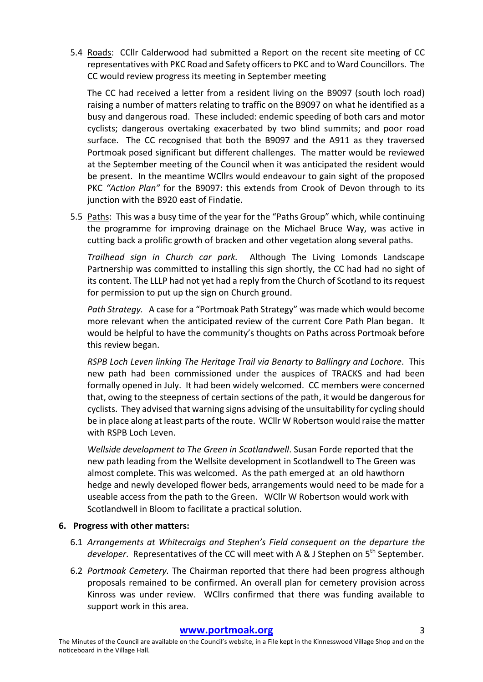5.4 Roads: CCllr Calderwood had submitted a Report on the recent site meeting of CC representatives with PKC Road and Safety officers to PKC and to Ward Councillors. The CC would review progress its meeting in September meeting

The CC had received a letter from a resident living on the B9097 (south loch road) raising a number of matters relating to traffic on the B9097 on what he identified as a busy and dangerous road. These included: endemic speeding of both cars and motor cyclists; dangerous overtaking exacerbated by two blind summits; and poor road surface. The CC recognised that both the B9097 and the A911 as they traversed Portmoak posed significant but different challenges. The matter would be reviewed at the September meeting of the Council when it was anticipated the resident would be present. In the meantime WCllrs would endeavour to gain sight of the proposed PKC "Action Plan" for the B9097: this extends from Crook of Devon through to its junction with the B920 east of Findatie.

5.5 Paths: This was a busy time of the year for the "Paths Group" which, while continuing the programme for improving drainage on the Michael Bruce Way, was active in cutting back a prolific growth of bracken and other vegetation along several paths.

*Trailhead sign in Church car park.* Although The Living Lomonds Landscape Partnership was committed to installing this sign shortly, the CC had had no sight of its content. The LLLP had not yet had a reply from the Church of Scotland to its request for permission to put up the sign on Church ground.

Path Strategy. A case for a "Portmoak Path Strategy" was made which would become more relevant when the anticipated review of the current Core Path Plan began. It would be helpful to have the community's thoughts on Paths across Portmoak before this review began.

*RSPB Loch Leven linking The Heritage Trail via Benarty to Ballingry and Lochore. This* new path had been commissioned under the auspices of TRACKS and had been formally opened in July. It had been widely welcomed. CC members were concerned that, owing to the steepness of certain sections of the path, it would be dangerous for cyclists. They advised that warning signs advising of the unsuitability for cycling should be in place along at least parts of the route. WCllr W Robertson would raise the matter with RSPB Loch Leven.

*Wellside development to The Green in Scotlandwell*. Susan Forde reported that the new path leading from the Wellsite development in Scotlandwell to The Green was almost complete. This was welcomed. As the path emerged at an old hawthorn hedge and newly developed flower beds, arrangements would need to be made for a useable access from the path to the Green. WCllr W Robertson would work with Scotlandwell in Bloom to facilitate a practical solution.

#### **6. Progress with other matters:**

- 6.1 Arrangements at Whitecraigs and Stephen's Field consequent on the departure the *developer*. Representatives of the CC will meet with A & J Stephen on 5<sup>th</sup> September.
- 6.2 *Portmoak Cemetery*. The Chairman reported that there had been progress although proposals remained to be confirmed. An overall plan for cemetery provision across Kinross was under review. WCllrs confirmed that there was funding available to support work in this area.